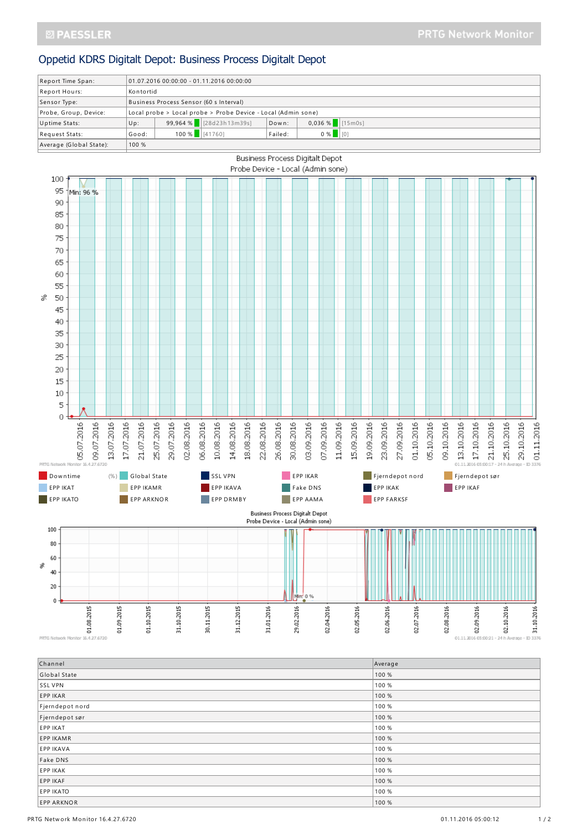## Oppetid KDRS Digitalt Depot: Business Process Digitalt Depot

| Report Time Span:       | $01.07.201600:00:00 - 01.11.201600:00:00$                     |                   |                         |         |                   |  |  |
|-------------------------|---------------------------------------------------------------|-------------------|-------------------------|---------|-------------------|--|--|
| Report Hours:           | Kontortid                                                     |                   |                         |         |                   |  |  |
| Sensor Type:            | Business Process Sensor (60 s Interval)                       |                   |                         |         |                   |  |  |
| Probe, Group, Device:   | Local probe > Local probe > Probe Device - Local (Admin sone) |                   |                         |         |                   |  |  |
| Uptime Stats:           | Up:                                                           |                   | 99,964 % [28d23h13m39s] | Down:   | $0,036 %$ [15m0s] |  |  |
| Request Stats:          | Good:                                                         | $100\%$ $[41760]$ |                         | Failed: | $0 %$ $ 00$       |  |  |
| Average (Global State): | 100 %                                                         |                   |                         |         |                   |  |  |
|                         |                                                               |                   |                         |         |                   |  |  |



PRTG Network Monitor 16.4.27.6720

| Channel           | Average |
|-------------------|---------|
| Global State      | 100 %   |
| SSL VPN           | 100 %   |
| EPP IKAR          | 100 %   |
| Fjerndepot nord   | 100 %   |
| Fjerndepot sør    | 100 %   |
| <b>EPP IKAT</b>   | 100 %   |
| <b>EPP IKAMR</b>  | 100 %   |
| <b>EPP IKAVA</b>  | 100 %   |
| Fake DNS          | 100 %   |
| EPP IKAK          | 100 %   |
| EPP IKAF          | 100 %   |
| <b>EPP IKATO</b>  | 100 %   |
| <b>EPP ARKNOR</b> | 100 %   |

01.11